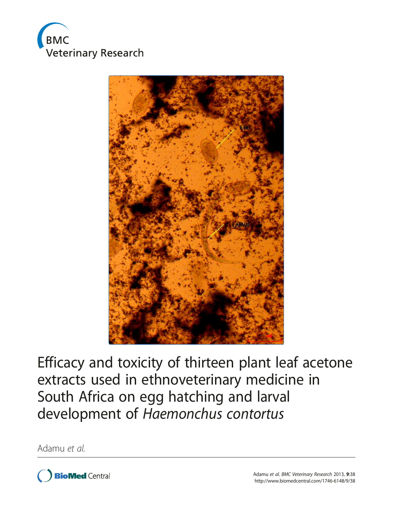



Efficacy and toxicity of thirteen plant leaf acetone extracts used in ethnoveterinary medicine in South Africa on egg hatching and larval development of Haemonchus contortus

Adamu et al.

**BioMed Central**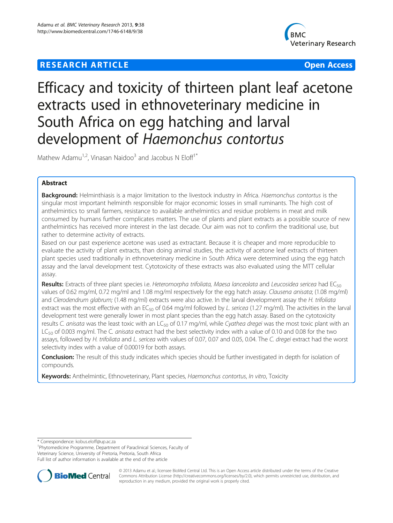## **RESEARCH ARTICLE Example 2014 12:30 The Contract of Contract ACCESS**



# Efficacy and toxicity of thirteen plant leaf acetone extracts used in ethnoveterinary medicine in South Africa on egg hatching and larval development of Haemonchus contortus

Mathew Adamu<sup>1,2</sup>, Vinasan Naidoo<sup>3</sup> and Jacobus N Eloff<sup>1\*</sup>

## Abstract

Background: Helminthiasis is a major limitation to the livestock industry in Africa. Haemonchus contortus is the singular most important helminth responsible for major economic losses in small ruminants. The high cost of anthelmintics to small farmers, resistance to available anthelmintics and residue problems in meat and milk consumed by humans further complicates matters. The use of plants and plant extracts as a possible source of new anthelmintics has received more interest in the last decade. Our aim was not to confirm the traditional use, but rather to determine activity of extracts.

Based on our past experience acetone was used as extractant. Because it is cheaper and more reproducible to evaluate the activity of plant extracts, than doing animal studies, the activity of acetone leaf extracts of thirteen plant species used traditionally in ethnoveterinary medicine in South Africa were determined using the egg hatch assay and the larval development test. Cytotoxicity of these extracts was also evaluated using the MTT cellular assay.

**Results:** Extracts of three plant species i.e. Heteromorpha trifoliata, Maesa lanceolata and Leucosidea sericea had  $EC_{50}$ values of 0.62 mg/ml, 0.72 mg/ml and 1.08 mg/ml respectively for the egg hatch assay. Clausena anisata; (1.08 mg/ml) and Clerodendrum glabrum; (1.48 mg/ml) extracts were also active. In the larval development assay the H. trifoliata extract was the most effective with an EC<sub>50</sub> of 0.64 mg/ml followed by L. sericea (1.27 mg/ml). The activities in the larval development test were generally lower in most plant species than the egg hatch assay. Based on the cytotoxicity results C. anisata was the least toxic with an  $LG_{50}$  of 0.17 mg/ml, while Cyathea dregei was the most toxic plant with an  $LC_{50}$  of 0.003 mg/ml. The C. anisata extract had the best selectivity index with a value of 0.10 and 0.08 for the two assays, followed by H. trifoliata and L. sericea with values of 0.07, 0.07 and 0.05, 0.04. The C. dregei extract had the worst selectivity index with a value of 0.00019 for both assays.

**Conclusion:** The result of this study indicates which species should be further investigated in depth for isolation of compounds.

Keywords: Anthelmintic, Ethnoveterinary, Plant species, Haemonchus contortus, In vitro, Toxicity

\* Correspondence: [kobus.eloff@up.ac.za](mailto:kobus.eloff@up.ac.za) <sup>1</sup>

<sup>1</sup>Phytomedicine Programme, Department of Paraclinical Sciences, Faculty of Veterinary Science, University of Pretoria, Pretoria, South Africa

Full list of author information is available at the end of the article



© 2013 Adamu et al.; licensee BioMed Central Ltd. This is an Open Access article distributed under the terms of the Creative Commons Attribution License (http://creativecommons.org/licenses/by/2.0), which permits unrestricted use, distribution, and reproduction in any medium, provided the original work is properly cited.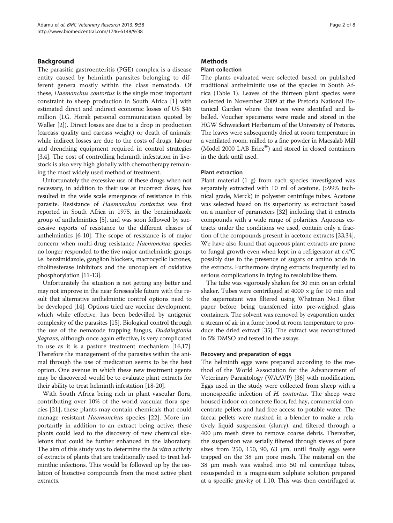## Background

The parasitic gastroenteritis (PGE) complex is a disease entity caused by helminth parasites belonging to different genera mostly within the class nematoda. Of these, Haemonchus contortus is the single most important constraint to sheep production in South Africa [[1\]](#page-7-0) with estimated direct and indirect economic losses of US \$45 million (I.G. Horak personal communication quoted by Waller [\[2\]](#page-7-0)). Direct losses are due to a drop in production (carcass quality and carcass weight) or death of animals; while indirect losses are due to the costs of drugs, labour and drenching equipment required in control strategies [[3,4](#page-7-0)]. The cost of controlling helminth infestation in livestock is also very high globally with chemotherapy remaining the most widely used method of treatment.

Unfortunately the excessive use of these drugs when not necessary, in addition to their use at incorrect doses, has resulted in the wide scale emergence of resistance in this parasite. Resistance of Haemonchus contortus was first reported in South Africa in 1975, in the benzimidazole group of anthelmintics [[5\]](#page-7-0), and was soon followed by successive reports of resistance to the different classes of anthelmintics [\[6](#page-7-0)-[10](#page-8-0)]. The scope of resistance is of major concern when multi-drug resistance Haemonchus species no longer responded to the five major anthelmintic groups i.e. benzimidazole, ganglion blockers, macrocyclic lactones, cholinesterase inhibitors and the uncouplers of oxidative phosphorylation [\[11-13\]](#page-8-0).

Unfortunately the situation is not getting any better and may not improve in the near foreseeable future with the result that alternative anthelmintic control options need to be developed [\[14\]](#page-8-0). Options tried are vaccine development, which while effective, has been bedevilled by antigenic complexity of the parasites [\[15](#page-8-0)]. Biological control through the use of the nematode trapping fungus, Duddingtonia flagrans, although once again effective, is very complicated to use as it is a pasture treatment mechanism [\[16,17](#page-8-0)]. Therefore the management of the parasites within the animal through the use of medication seems to be the best option. One avenue in which these new treatment agents may be discovered would be to evaluate plant extracts for their ability to treat helminth infestation [\[18-20\]](#page-8-0).

With South Africa being rich in plant vascular flora, contributing over 10% of the world vascular flora species [[21](#page-8-0)], these plants may contain chemicals that could manage resistant *Haemonchus* species [[22\]](#page-8-0). More importantly in addition to an extract being active, these plants could lead to the discovery of new chemical skeletons that could be further enhanced in the laboratory. The aim of this study was to determine the *in vitro* activity of extracts of plants that are traditionally used to treat helminthic infections. This would be followed up by the isolation of bioactive compounds from the most active plant extracts.

#### **Methods**

## Plant collection

The plants evaluated were selected based on published traditional anthelmintic use of the species in South Africa (Table [1\)](#page-3-0). Leaves of the thirteen plant species were collected in November 2009 at the Pretoria National Botanical Garden where the trees were identified and labelled. Voucher specimens were made and stored in the HGW Schweickert Herbarium of the University of Pretoria. The leaves were subsequently dried at room temperature in a ventilated room, milled to a fine powder in Macsalab Mill (Model 2000 LAB Eriez®) and stored in closed containers in the dark until used.

#### Plant extraction

Plant material (1 g) from each species investigated was separately extracted with 10 ml of acetone, (>99% technical grade, Merck) in polyester centrifuge tubes. Acetone was selected based on its superiority as extractant based on a number of parameters [[32](#page-8-0)] including that it extracts compounds with a wide range of polarities. Aqueous extracts under the conditions we used, contain only a fraction of the compounds present in acetone extracts [\[33,34](#page-8-0)]. We have also found that aqueous plant extracts are prone to fungal growth even when kept in a refrigerator at c.4°C possibly due to the presence of sugars or amino acids in the extracts. Furthermore drying extracts frequently led to serious complications in trying to resolubilize them.

The tube was vigorously shaken for 30 min on an orbital shaker. Tubes were centrifuged at  $4000 \times g$  for 10 min and the supernatant was filtered using Whatman No.1 filter paper before being transferred into pre-weighed glass containers. The solvent was removed by evaporation under a stream of air in a fume hood at room temperature to produce the dried extract [\[35\]](#page-8-0). The extract was reconstituted in 5% DMSO and tested in the assays.

#### Recovery and preparation of eggs

The helminth eggs were prepared according to the method of the World Association for the Advancement of Veterinary Parasitology (WAAVP) [\[36\]](#page-8-0) with modification. Eggs used in the study were collected from sheep with a monospecific infection of *H. contortus*. The sheep were housed indoor on concrete floor, fed hay, commercial concentrate pellets and had free access to potable water. The faecal pellets were mashed in a blender to make a relatively liquid suspension (slurry), and filtered through a 400 μm mesh sieve to remove coarse debris. Thereafter, the suspension was serially filtered through sieves of pore sizes from 250, 150, 90, 63 μm, until finally eggs were trapped on the 38 μm pore mesh. The material on the 38 μm mesh was washed into 50 ml centrifuge tubes, resuspended in a magnesium sulphate solution prepared at a specific gravity of 1.10. This was then centrifuged at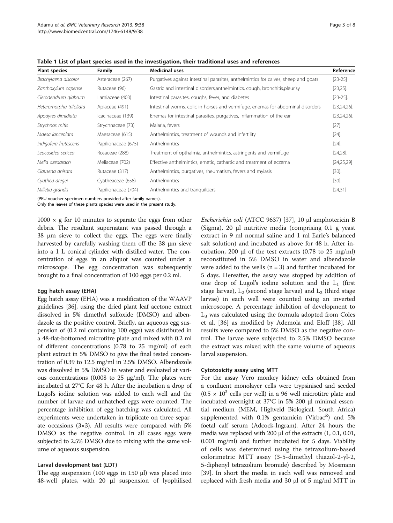| <b>Plant species</b>    | Family              | <b>Medicinal uses</b>                                                              | Reference        |  |
|-------------------------|---------------------|------------------------------------------------------------------------------------|------------------|--|
| Brachylaena discolor    | Asteraceae (267)    | Purgatives against intestinal parasites, anthelmintics for calves, sheep and goats | $[23-25]$        |  |
| Zanthoxylum capense     | Rutaceae (96)       | Gastric and intestinal disorders, anthelmintics, cough, bronchitis, pleurisy       | $[23, 25]$ .     |  |
| Clerodendrum glabrum    | Lamiaceae (403)     | Intestinal parasites, coughs, fever, and diabetes                                  | $[23-25]$ .      |  |
| Heteromorpha trifoliata | Apiaceae (491)      | Intestinal worms, colic in horses and vermifuge, enemas for abdominal disorders    | $[23, 24, 26]$ . |  |
| Apodytes dimidiata      | Icacinaceae (139)   | Enemas for intestinal parasites, purgatives, inflammation of the ear               | $[23, 24, 26]$ . |  |
| Strychnos mitis         | Strychnaceae (73)   | Malaria, fevers                                                                    | $[27]$           |  |
| Maesa lanceolata        | Maesaceae (615)     | Anthelmintics, treatment of wounds and infertility                                 | $[24].$          |  |
| Indigofera frutescens   | Papilionaceae (675) | Anthelmintics                                                                      | $[24].$          |  |
| Leucosidea sericea      | Rosaceae (288)      | Treatment of opthalmia, anthelmintics, astringents and vermifuge                   | $[24, 28]$ .     |  |
| Melia azedarach         | Meliaceae (702)     | Effective anthelmintics, emetic, cathartic and treatment of eczema                 | [24, 25, 29]     |  |
| Clausena anisata        | Rutaceae (317)      | Anthelmintics, purgatives, rheumatism, fevers and myiasis                          | $[30].$          |  |
| Cyathea dregei          | Cyatheaceae (658)   | Anthelmintics                                                                      | $[30]$           |  |
| Milletia grandis        | Papilionaceae (704) | Anthelmintics and tranquilizers                                                    | [24,31]          |  |

<span id="page-3-0"></span>Table 1 List of plant species used in the investigation, their traditional uses and references

(PRU voucher specimen numbers provided after family names).

Only the leaves of these plants species were used in the present study.

 $1000 \times g$  for 10 minutes to separate the eggs from other debris. The resultant supernatant was passed through a 38 μm sieve to collect the eggs. The eggs were finally harvested by carefully washing them off the 38 μm sieve into a 1 L conical cylinder with distilled water. The concentration of eggs in an aliquot was counted under a microscope. The egg concentration was subsequently brought to a final concentration of 100 eggs per 0.2 ml.

#### Egg hatch assay (EHA)

Egg hatch assay (EHA) was a modification of the WAAVP guidelines [\[36\]](#page-8-0), using the dried plant leaf acetone extract dissolved in 5% dimethyl sulfoxide (DMSO) and albendazole as the positive control. Briefly, an aqueous egg suspension of (0.2 ml containing 100 eggs) was distributed in a 48-flat-bottomed microtitre plate and mixed with 0.2 ml of different concentrations (0.78 to 25 mg/ml) of each plant extract in 5% DMSO to give the final tested concentration of 0.39 to 12.5 mg/ml in 2.5% DMSO. Albendazole was dissolved in 5% DMSO in water and evaluated at various concentrations  $(0.008$  to 25 μg/ml). The plates were incubated at 27°C for 48 h. After the incubation a drop of Lugol's iodine solution was added to each well and the number of larvae and unhatched eggs were counted. The percentage inhibition of egg hatching was calculated. All experiments were undertaken in triplicate on three separate occasions (3×3). All results were compared with 5% DMSO as the negative control. In all cases eggs were subjected to 2.5% DMSO due to mixing with the same volume of aqueous suspension.

#### Larval development test (LDT)

The egg suspension (100 eggs in 150 μl) was placed into 48-well plates, with 20 μl suspension of lyophilised Escherichia coli (ATCC 9637) [[37\]](#page-8-0), 10 μl amphotericin B (Sigma), 20 μl nutritive media (comprising 0.1 g yeast extract in 9 ml normal saline and 1 ml Earle's balanced salt solution) and incubated as above for 48 h. After incubation, 200 μl of the test extracts (0.78 to 25 mg/ml) reconstituted in 5% DMSO in water and albendazole were added to the wells  $(n = 3)$  and further incubated for 5 days. Hereafter, the assay was stopped by addition of one drop of Lugol's iodine solution and the  $L_1$  (first stage larvae),  $L_2$  (second stage larvae) and  $L_3$  (third stage larvae) in each well were counted using an inverted microscope. A percentage inhibition of development to  $L_3$  was calculated using the formula adopted from Coles et al. [[36\]](#page-8-0) as modified by Ademola and Eloff [[38\]](#page-8-0). All results were compared to 5% DMSO as the negative control. The larvae were subjected to 2.5% DMSO because the extract was mixed with the same volume of aqueous larval suspension.

#### Cytotoxicity assay using MTT

For the assay Vero monkey kidney cells obtained from a confluent monolayer cells were trypsinised and seeded  $(0.5 \times 10^3$  cells per well) in a 96 well microtitre plate and incubated overnight at 37°C in 5% 200 μl minimal essential medium (MEM, Highveld Biological, South Africa) supplemented with  $0.1\%$  gentamicin (Virbac<sup>R</sup>) and 5% foetal calf serum (Adcock-Ingram). After 24 hours the media was replaced with 200 μl of the extracts (1, 0.1, 0.01, 0.001 mg/ml) and further incubated for 5 days. Viability of cells was determined using the tetrazolium-based colorimetric MTT assay (3-5-dimethyl thiazol-2-yl-2, 5-diphenyl tetrazolium bromide) described by Mosmann [[39](#page-8-0)]. In short the media in each well was removed and replaced with fresh media and 30 μl of 5 mg/ml MTT in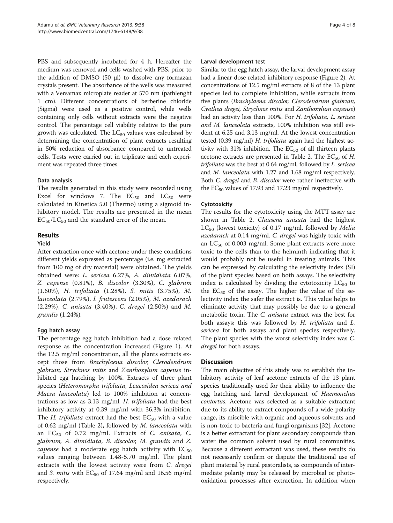PBS and subsequently incubated for 4 h. Hereafter the medium was removed and cells washed with PBS, prior to the addition of DMSO (50 μl) to dissolve any formazan crystals present. The absorbance of the wells was measured with a Versamax microplate reader at 570 nm (pathlenght 1 cm). Different concentrations of berberine chloride (Sigma) were used as a positive control, while wells containing only cells without extracts were the negative control. The percentage cell viability relative to the pure growth was calculated. The  $LC_{50}$  values was calculated by determining the concentration of plant extracts resulting in 50% reduction of absorbance compared to untreated cells. Tests were carried out in triplicate and each experiment was repeated three times.

## Data analysis

The results generated in this study were recorded using Excel for windows 7. The  $EC_{50}$  and  $LC_{50}$  were calculated in Kinetica 5.0 (Thermo) using a sigmoid inhibitory model. The results are presented in the mean  $EC_{50}/LC_{50}$  and the standard error of the mean.

## Results

## Yield

After extraction once with acetone under these conditions different yields expressed as percentage (i.e. mg extracted from 100 mg of dry material) were obtained. The yields obtained were: L. sericea 6.27%, A. dimidiata 6.07%, Z. capense (0.81%), B. discolor (3.30%), C. glabrum (1.60%), H. trifoliata (1.28%), S. mitis (3.75%), M. lanceolata (2.79%), I. frutescens (2.05%), M. azedarach (2.29%), C. anisata (3.40%), C. dregei (2.50%) and M. grandis (1.24%).

## Egg hatch assay

The percentage egg hatch inhibition had a dose related response as the concentration increased (Figure [1](#page-5-0)). At the 12.5 mg/ml concentration, all the plants extracts except those from Brachylaena discolor, Clerodendrum glabrum, Strychnos mitis and Zanthoxylum capense inhibited egg hatching by 100%. Extracts of three plant species (Heteromorpha trifoliata, Leucosidea sericea and Maesa lanceolata) led to 100% inhibition at concentrations as low as 3.13 mg/ml. H. trifoliata had the best inhibitory activity at 0.39 mg/ml with 36.3% inhibition. The *H. trifoliata* extract had the best  $EC_{50}$  with a value of 0.62 mg/ml (Table [2\)](#page-5-0), followed by M. lanceolata with an  $EC_{50}$  of 0.72 mg/ml. Extracts of C. anisata, C. glabrum, A. dimidiata, B. discolor, M. grandis and Z. *capense* had a moderate egg hatch activity with  $EC_{50}$ values ranging between 1.48-5.70 mg/ml. The plant extracts with the lowest activity were from C. dregei and *S. mitis* with  $EC_{50}$  of 17.64 mg/ml and 16.56 mg/ml respectively.

## Larval development test

Similar to the egg hatch assay, the larval development assay had a linear dose related inhibitory response (Figure [2](#page-6-0)). At concentrations of 12.5 mg/ml extracts of 8 of the 13 plant species led to complete inhibition, while extracts from five plants (Brachylaena discolor, Clerodendrum glabrum, Cyathea dregei, Strychnos mitis and Zanthoxylum capense) had an activity less than 100%. For H. trifoliata, L. sericea and M. lanceolata extracts, 100% inhibition was still evident at 6.25 and 3.13 mg/ml. At the lowest concentration tested (0.39 mg/ml) H. trifoliata again had the highest activity with 31% inhibition. The  $EC_{50}$  of all thirteen plants acetone extracts are presented in Table [2.](#page-5-0) The  $EC_{50}$  of H. trifoliata was the best at 0.64 mg/ml, followed by L. sericea and M. lanceolata with 1.27 and 1.68 mg/ml respectively. Both C. dregei and B. discolor were rather ineffective with the  $EC_{50}$  values of 17.93 and 17.23 mg/ml respectively.

## **Cytotoxicity**

The results for the cytotoxicity using the MTT assay are shown in Table [2.](#page-5-0) Clausena anisata had the highest  $LC_{50}$  (lowest toxicity) of 0.17 mg/ml, followed by *Melia* azedarach at 0.14 mg/ml. C. dregei was highly toxic with an  $LC_{50}$  of 0.003 mg/ml. Some plant extracts were more toxic to the cells than to the helminth indicating that it would probably not be useful in treating animals. This can be expressed by calculating the selectivity index (SI) of the plant species based on both assays. The selectivity index is calculated by dividing the cytotoxicity  $LC_{50}$  to the  $EC_{50}$  of the assay. The higher the value of the selectivity index the safer the extract is. This value helps to eliminate activity that may possibly be due to a general metabolic toxin. The C. anisata extract was the best for both assays; this was followed by H. trifoliata and L. sericea for both assays and plant species respectively. The plant species with the worst selectivity index was C. dregei for both assays.

## **Discussion**

The main objective of this study was to establish the inhibitory activity of leaf acetone extracts of the 13 plant species traditionally used for their ability to influence the egg hatching and larval development of Haemonchus contortus. Acetone was selected as a suitable extractant due to its ability to extract compounds of a wide polarity range, its miscible with organic and aqueous solvents and is non-toxic to bacteria and fungi organisms [[32](#page-8-0)]. Acetone is a better extractant for plant secondary compounds than water the common solvent used by rural communities. Because a different extractant was used, these results do not necessarily confirm or dispute the traditional use of plant material by rural pastoralists, as compounds of intermediate polarity may be released by microbial or photooxidation processes after extraction. In addition when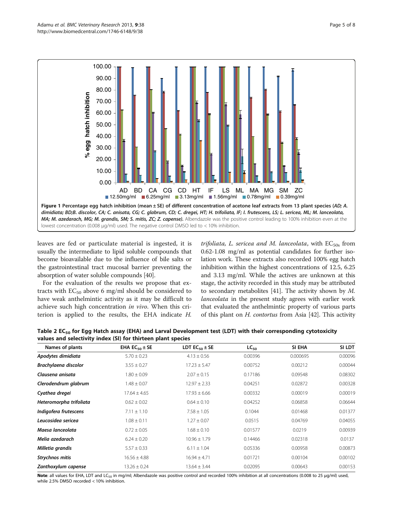<span id="page-5-0"></span>

leaves are fed or particulate material is ingested, it is usually the intermediate to lipid soluble compounds that become bioavailable due to the influence of bile salts or the gastrointestinal tract mucosal barrier preventing the absorption of water soluble compounds [[40](#page-8-0)].

For the evaluation of the results we propose that extracts with  $EC_{50}$  above 6 mg/ml should be considered to have weak anthelmintic activity as it may be difficult to achieve such high concentration in vivo. When this criterion is applied to the results, the EHA indicate H.

trifoliata, L. sericea and M. lanceolata, with  $EC_{50s}$  from 0.62-1.08 mg/ml as potential candidates for further isolation work. These extracts also recorded 100% egg hatch inhibition within the highest concentrations of 12.5, 6.25 and 3.13 mg/ml. While the actives are unknown at this stage, the activity recorded in this study may be attributed to secondary metabolites [[41](#page-8-0)]. The activity shown by M. lanceolata in the present study agrees with earlier work that evaluated the anthelmintic property of various parts of this plant on H. contortus from Asia [[42](#page-8-0)]. This activity

| Table 2 EC <sub>50</sub> for Egg Hatch assay (EHA) and Larval Development test (LDT) with their corresponding cytotoxicity |  |
|----------------------------------------------------------------------------------------------------------------------------|--|
| values and selectivity index (SI) for thirteen plant species                                                               |  |

| Names of plants         | EHA $EC_{50}$ ± SE | LDT $EC_{50} \pm SE$ | $LC_{50}$ | SI EHA   | SI LDT  |
|-------------------------|--------------------|----------------------|-----------|----------|---------|
| Apodytes dimidiata      | $5.70 \pm 0.23$    | $4.13 \pm 0.56$      | 0.00396   | 0.000695 | 0.00096 |
| Brachylaena discolor    | $3.55 \pm 0.27$    | $17.23 \pm 5.47$     | 0.00752   | 0.00212  | 0.00044 |
| Clausena anisata        | $1.80 \pm 0.09$    | $2.07 \pm 0.15$      | 0.17186   | 0.09548  | 0.08302 |
| Clerodendrum glabrum    | $1.48 \pm 0.07$    | $12.97 \pm 2.33$     | 0.04251   | 0.02872  | 0.00328 |
| Cyathea dregei          | $17.64 \pm 4.65$   | $17.93 \pm 6.66$     | 0.00332   | 0.00019  | 0.00019 |
| Heteromorpha trifoliata | $0.62 \pm 0.02$    | $0.64 \pm 0.10$      | 0.04252   | 0.06858  | 0.06644 |
| Indigofera frutescens   | $7.11 \pm 1.10$    | $7.58 \pm 1.05$      | 0.1044    | 0.01468  | 0.01377 |
| Leucosidea sericea      | $1.08 \pm 0.11$    | $1.27 \pm 0.07$      | 0.0515    | 0.04769  | 0.04055 |
| Maesa lanceolata        | $0.72 \pm 0.05$    | $1.68 \pm 0.10$      | 0.01577   | 0.0219   | 0.00939 |
| Melia azedarach         | $6.24 \pm 0.20$    | $10.96 \pm 1.79$     | 0.14466   | 0.02318  | 0.0137  |
| Milletia grandis        | $5.57 \pm 0.33$    | $6.11 \pm 1.04$      | 0.05336   | 0.00958  | 0.00873 |
| Strychnos mitis         | $16.56 \pm 4.88$   | $16.94 \pm 4.71$     | 0.01721   | 0.00104  | 0.00102 |
| Zanthoxylum capense     | $13.26 \pm 0.24$   | $13.64 \pm 3.44$     | 0.02095   | 0.00643  | 0.00153 |
|                         |                    |                      |           |          |         |

Note: all values for EHA, LDT and LC<sub>50</sub> in mg/ml; Albendazole was positive control and recorded 100% inhibition at all concentrations (0.008 to 25 μg/ml) used, while 2.5% DMSO recorded < 10% inhibition.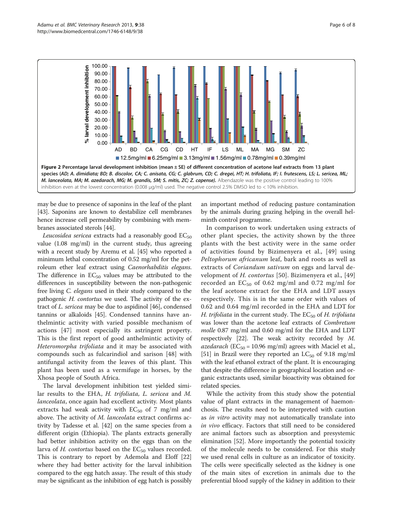<span id="page-6-0"></span>

may be due to presence of saponins in the leaf of the plant [[43](#page-8-0)]. Saponins are known to destabilize cell membranes hence increase cell permeability by combining with membranes associated sterols [\[44\]](#page-8-0).

Leucosidea sericea extracts had a reasonably good  $EC_{50}$ value (1.08 mg/ml) in the current study, thus agreeing with a recent study by Aremu et al. [\[45\]](#page-8-0) who reported a minimum lethal concentration of 0.52 mg/ml for the petroleum ether leaf extract using Caenorhabditis elegans. The difference in  $EC_{50}$  values may be attributed to the differences in susceptibility between the non-pathogenic free living C. elegans used in their study compared to the pathogenic *H. contortus* we used. The activity of the extract of L. sericea may be due to aspidinol [\[46\]](#page-8-0), condensed tannins or alkaloids [[45](#page-8-0)]. Condensed tannins have anthelmintic activity with varied possible mechanism of actions [[47\]](#page-8-0) most especially its astringent property. This is the first report of good anthelmintic activity of Heteromorpha trifoliata and it may be associated with compounds such as fulcarindiol and sarison [[48\]](#page-8-0) with antifungal activity from the leaves of this plant. This plant has been used as a vermifuge in horses, by the Xhosa people of South Africa.

The larval development inhibition test yielded similar results to the EHA, H. trifoliata, L. sericea and M. lanceolata, once again had excellent activity. Most plants extracts had weak activity with  $EC_{50}$  of 7 mg/ml and above. The activity of M. lanceolata extract confirms activity by Tadesse et al. [\[42](#page-8-0)] on the same species from a different origin (Ethiopia). The plants extracts generally had better inhibition activity on the eggs than on the larva of *H. contortus* based on the  $EC_{50}$  values recorded. This is contrary to report by Ademola and Eloff [[22](#page-8-0)] where they had better activity for the larval inhibition compared to the egg hatch assay. The result of this study may be significant as the inhibition of egg hatch is possibly

an important method of reducing pasture contamination by the animals during grazing helping in the overall helminth control programme.

In comparison to work undertaken using extracts of other plant species, the activity shown by the three plants with the best activity were in the same order of activities found by Bizimenyera et al., [\[49](#page-8-0)] using Peltophorum africanum leaf, bark and roots as well as extracts of Coriandum sativum on eggs and larval de-velopment of H. contortus [[50](#page-8-0)]. Bizimenyera et al., [\[49](#page-8-0)] recorded an  $EC_{50}$  of 0.62 mg/ml and 0.72 mg/ml for the leaf acetone extract for the EHA and LDT assays respectively. This is in the same order with values of 0.62 and 0.64 mg/ml recorded in the EHA and LDT for H. trifoliata in the current study. The  $EC_{50}$  of H. trifoliata was lower than the acetone leaf extracts of Combretum molle 0.87 mg/ml and 0.60 mg/ml for the EHA and LDT respectively [\[22\]](#page-8-0). The weak activity recorded by M. *azedarach* ( $EC_{50} = 10.96$  mg/ml) agrees with Maciel et al., [[51](#page-8-0)] in Brazil were they reported an  $LC_{50}$  of 9.18 mg/ml with the leaf ethanol extract of the plant. It is encouraging that despite the difference in geographical location and organic extractants used, similar bioactivity was obtained for related species.

While the activity from this study show the potential value of plant extracts in the management of haemonchosis. The results need to be interpreted with caution as *in vitro* activity may not automatically translate into in vivo efficacy. Factors that still need to be considered are animal factors such as absorption and presystemic elimination [[52](#page-8-0)]. More importantly the potential toxicity of the molecule needs to be considered. For this study we used renal cells in culture as an indicator of toxicity. The cells were specifically selected as the kidney is one of the main sites of excretion in animals due to the preferential blood supply of the kidney in addition to their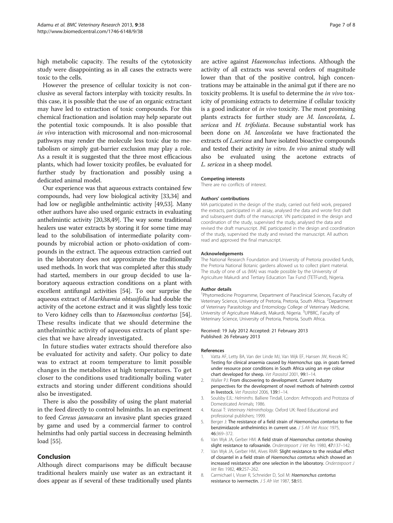<span id="page-7-0"></span>high metabolic capacity. The results of the cytotoxicity study were disappointing as in all cases the extracts were toxic to the cells.

However the presence of cellular toxicity is not conclusive as several factors interplay with toxicity results. In this case, it is possible that the use of an organic extractant may have led to extraction of toxic compounds. For this chemical fractionation and isolation may help separate out the potential toxic compounds. It is also possible that in vivo interaction with microsomal and non-microsomal pathways may render the molecule less toxic due to metabolism or simply gut-barrier exclusion may play a role. As a result it is suggested that the three most efficacious plants, which had lower toxicity profiles, be evaluated for further study by fractionation and possibly using a dedicated animal model.

Our experience was that aqueous extracts contained few compounds, had very low biological activity [\[33,34](#page-8-0)] and had low or negligible anthelmintic activity [\[49,53\]](#page-8-0). Many other authors have also used organic extracts in evaluating anthelmintic activity [\[20,38,49](#page-8-0)]. The way some traditional healers use water extracts by storing it for some time may lead to the solubilisation of intermediate polarity compounds by microbial action or photo-oxidation of compounds in the extract. The aqueous extraction carried out in the laboratory does not approximate the traditionally used methods. In work that was completed after this study had started, members in our group decided to use laboratory aqueous extraction conditions on a plant with excellent antifungal activities [\[54\]](#page-8-0). To our surprise the aqueous extract of Markhamia obtusifolia had double the activity of the acetone extract and it was slightly less toxic to Vero kidney cells than to Haemonchus contortus [[54](#page-8-0)]. These results indicate that we should determine the anthelminthic activity of aqueous extracts of plant species that we have already investigated.

In future studies water extracts should therefore also be evaluated for activity and safety. Our policy to date was to extract at room temperature to limit possible changes in the metabolites at high temperatures. To get closer to the conditions used traditionally boiling water extracts and storing under different conditions should also be investigated.

There is also the possibility of using the plant material in the feed directly to control helminths. In an experiment to feed Cereus jamacara an invasive plant species grazed by game and used by a commercial farmer to control helminths had only partial success in decreasing helminth load [\[55\]](#page-8-0).

## Conclusion

Although direct comparisons may be difficult because traditional healers mainly use water as an extractant it does appear as if several of these traditionally used plants

are active against Haemonchus infections. Although the activity of all extracts was several orders of magnitude lower than that of the positive control, high concentrations may be attainable in the animal gut if there are no toxicity problems. It is useful to determine the in vivo toxicity of promising extracts to determine if cellular toxicity is a good indicator of *in vivo* toxicity. The most promising plants extracts for further study are M. lanceolata, L. sericea and H. trifoliata. Because substantial work has been done on M. lanceolata we have fractionated the extracts of L.sericea and have isolated bioactive compounds and tested their activity in vitro. In vivo animal study will also be evaluated using the acetone extracts of L. sericea in a sheep model.

#### Competing interests

There are no conflicts of interest.

#### Authors' contributions

MA participated in the design of the study, carried out field work, prepared the extracts, participated in all assay, analysed the data and wrote first draft and subsequent drafts of the manuscript. VN participated in the design and coordination of the study, supervised the study, analysed the data and revised the draft manuscript. JNE participated in the design and coordination of the study, supervised the study and revised the manuscript. All authors read and approved the final manuscript.

#### Acknowledgements

The National Research Foundation and University of Pretoria provided funds, the Pretoria National Botanic gardens allowed us to collect plant material. The study of one of us (MA) was made possible by the University of Agriculture Makurdi and Tertiary Education Tax Fund (TETFund), Nigeria.

#### Author details

<sup>1</sup>Phytomedicine Programme, Department of Paraclinical Sciences, Faculty of Veterinary Science, University of Pretoria, Pretoria, South Africa. <sup>2</sup>Department of Veterinary Parasitology and Entomology College of Veterinary Medicine, University of Agriculture Makurdi, Makurdi, Nigeria. <sup>3</sup>UPBRC, Faculty of Veterinary Science, University of Pretoria, Pretoria, South Africa.

Received: 19 July 2012 Accepted: 21 February 2013 Published: 26 February 2013

#### References

- 1. Vatta AF, Letty BA, Van der Linde MJ, Van Wijk EF, Hansen JW, Krecek RC: Testing for clinical anaemia caused by Haemonchus spp. in goats farmed under resource poor conditions in South Africa using an eye colour chart developed for sheep. Vet Parasitol 2001, 99:1–14.
- 2. Waller PJ: From discovering to development. Current industry perspectives for the development of novel methods of helminth control in livestock. Vet Parasitol 2006, 139:1–14.
- 3. Soulsby EJL: Helminths. Balliere Tindall, London: Arthropods and Protozoa of Domesticated Animals; 1986.
- 4. Kassai T: Veterinary Helminthology. Oxford UK: Reed Educational and professional publishers; 1999.
- 5. Berger J: The resistance of a field strain of Haemonchus contortus to five benzimidazole anthelmintics in current use. J S Afr Vet Assoc 1975 46:369–372.
- 6. Van Wyk JA, Gerber HM: A field strain of Haemonchus contortus showing slight resistance to rafoxanide. Onderstepoort J Vet Res 1980, 47:137-142.
- 7. Van Wyk JA, Gerber HM, Alves RMR: Slight resistance to the residual effect of closantel in a field strain of Haemonchus contortus which showed an increased resistance after one selection in the laboratory. Onderstepoort J Vet Res 1982, 49:257–262.
- 8. Carmichael I, Visser R, Schneider D, Soil M: Haemonchus contortus resistance to ivermectin. J S Afr Vet 1987, 58:93.